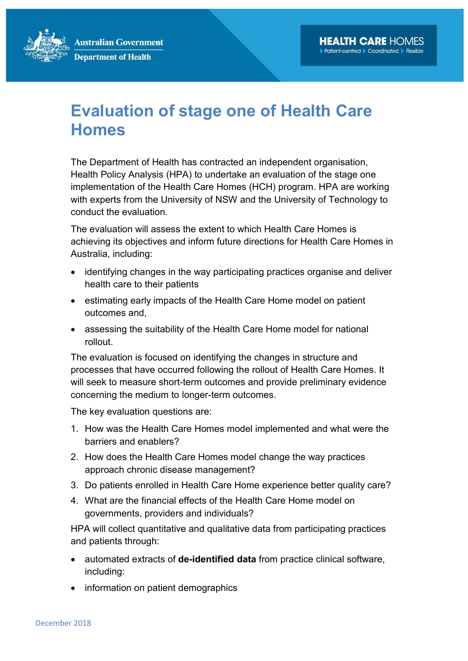**Australian Government Department of Health** 

## Evaluation of stage one of Health Care **Homes**

The Department of Health has contracted an independent organisation, Health Policy Analysis (HPA) to undertake an evaluation of the stage one implementation of the Health Care Homes (HCH) program. HPA are working with experts from the University of NSW and the University of Technology to conduct the evaluation.

The evaluation will assess the extent to which Health Care Homes is achieving its objectives and inform future directions for Health Care Homes in Australia, including:

- identifying changes in the way participating practices organise and deliver health care to their patients
- estimating early impacts of the Health Care Home model on patient outcomes and,
- assessing the suitability of the Health Care Home model for national rollout.

The evaluation is focused on identifying the changes in structure and processes that have occurred following the rollout of Health Care Homes. It will seek to measure short-term outcomes and provide preliminary evidence concerning the medium to longer-term outcomes.

The key evaluation questions are:

- 1. How was the Health Care Homes model implemented and what were the barriers and enablers?
- 2. How does the Health Care Homes model change the way practices approach chronic disease management?
- 3. Do patients enrolled in Health Care Home experience better quality care?
- 4. What are the financial effects of the Health Care Home model on governments, providers and individuals?

HPA will collect quantitative and qualitative data from participating practices and patients through:

- automated extracts of de-identified data from practice clinical software, including:
- information on patient demographics